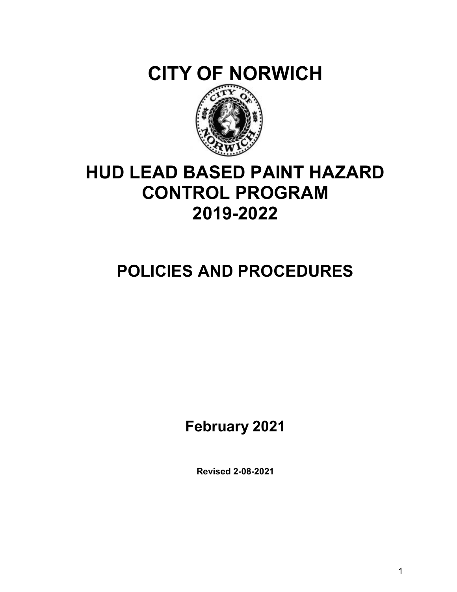# CITY OF NORWICH



# HUD LEAD BASED PAINT HAZARD CONTROL PROGRAM 2019-2022

# POLICIES AND PROCEDURES

February 2021

Revised 2-08-2021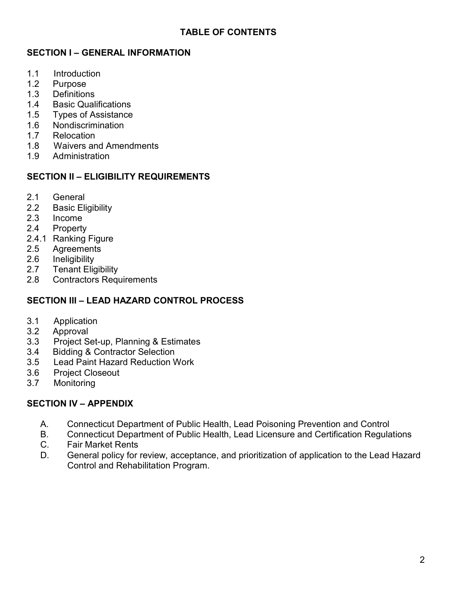# SECTION I – GENERAL INFORMATION

- 1.1 Introduction
- 1.2 Purpose
- 1.3 Definitions
- 1.4 Basic Qualifications
- 1.5 Types of Assistance
- 1.6 Nondiscrimination
- 1.7 Relocation
- 1.8 Waivers and Amendments
- 1.9 Administration

# SECTION II – ELIGIBILITY REQUIREMENTS

- 2.1 General
- 2.2 Basic Eligibility
- 2.3 Income
- 2.4 Property
- 2.4.1 Ranking Figure
- 2.5 Agreements
- 2.6 Ineligibility
- 2.7 Tenant Eligibility
- 2.8 Contractors Requirements

# SECTION III – LEAD HAZARD CONTROL PROCESS

- 3.1 Application
- 3.2 Approval
- 3.3 Project Set-up, Planning & Estimates
- 3.4 Bidding & Contractor Selection
- 3.5 Lead Paint Hazard Reduction Work
- 3.6 Project Closeout
- 3.7 Monitoring

## SECTION IV – APPENDIX

- A. Connecticut Department of Public Health, Lead Poisoning Prevention and Control
- B. Connecticut Department of Public Health, Lead Licensure and Certification Regulations C. Fair Market Rents
- D. General policy for review, acceptance, and prioritization of application to the Lead Hazard Control and Rehabilitation Program.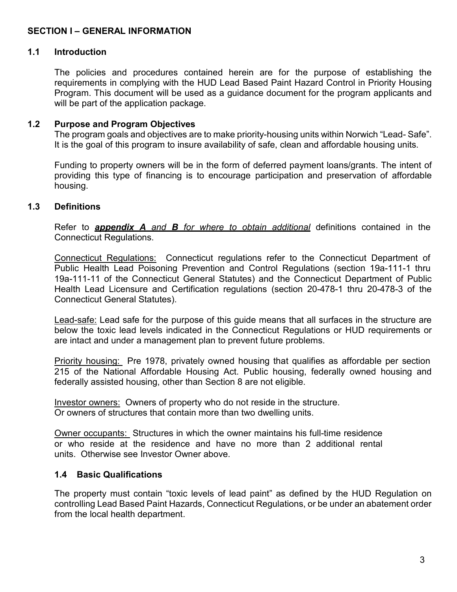## SECTION I – GENERAL INFORMATION

#### 1.1 Introduction

The policies and procedures contained herein are for the purpose of establishing the requirements in complying with the HUD Lead Based Paint Hazard Control in Priority Housing Program. This document will be used as a guidance document for the program applicants and will be part of the application package.

#### 1.2 Purpose and Program Objectives

The program goals and objectives are to make priority-housing units within Norwich "Lead- Safe". It is the goal of this program to insure availability of safe, clean and affordable housing units.

Funding to property owners will be in the form of deferred payment loans/grants. The intent of providing this type of financing is to encourage participation and preservation of affordable housing.

## 1.3 Definitions

Refer to **appendix A** and **B** for where to obtain additional definitions contained in the Connecticut Regulations.

Connecticut Regulations: Connecticut regulations refer to the Connecticut Department of Public Health Lead Poisoning Prevention and Control Regulations (section 19a-111-1 thru 19a-111-11 of the Connecticut General Statutes) and the Connecticut Department of Public Health Lead Licensure and Certification regulations (section 20-478-1 thru 20-478-3 of the Connecticut General Statutes).

Lead-safe: Lead safe for the purpose of this guide means that all surfaces in the structure are below the toxic lead levels indicated in the Connecticut Regulations or HUD requirements or are intact and under a management plan to prevent future problems.

Priority housing: Pre 1978, privately owned housing that qualifies as affordable per section 215 of the National Affordable Housing Act. Public housing, federally owned housing and federally assisted housing, other than Section 8 are not eligible.

Investor owners: Owners of property who do not reside in the structure. Or owners of structures that contain more than two dwelling units.

Owner occupants: Structures in which the owner maintains his full-time residence or who reside at the residence and have no more than 2 additional rental units. Otherwise see Investor Owner above.

## 1.4 Basic Qualifications

The property must contain "toxic levels of lead paint" as defined by the HUD Regulation on controlling Lead Based Paint Hazards, Connecticut Regulations, or be under an abatement order from the local health department.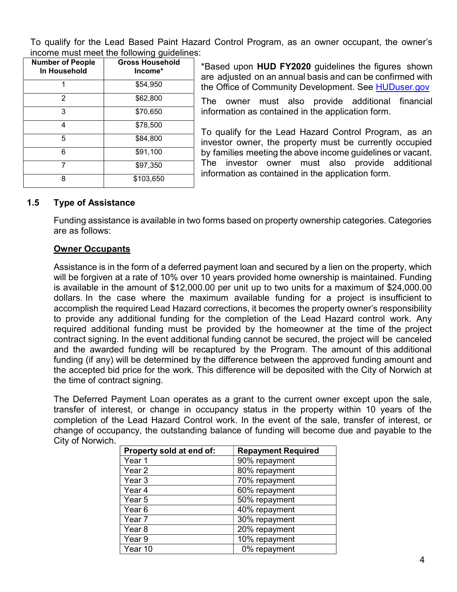To qualify for the Lead Based Paint Hazard Control Program, as an owner occupant, the owner's income must meet the following guidelines:

| <b>Number of People</b><br>In Household | <b>Gross Household</b><br>Income* |  |
|-----------------------------------------|-----------------------------------|--|
| 1                                       | \$54,950                          |  |
| 2                                       | \$62,800                          |  |
| 3                                       | \$70,650                          |  |
| 4                                       | \$78,500                          |  |
| 5                                       | \$84,800                          |  |
| 6                                       | \$91,100                          |  |
|                                         | \$97,350                          |  |
| 8                                       | \$103,650                         |  |

\*Based upon HUD FY2020 guidelines the figures shown are adjusted on an annual basis and can be confirmed with the Office of Community Development. See HUDuser.gov

The owner must also provide additional financial information as contained in the application form.

To qualify for the Lead Hazard Control Program, as an investor owner, the property must be currently occupied by families meeting the above income guidelines or vacant. The investor owner must also provide additional information as contained in the application form.

## 1.5 Type of Assistance

Funding assistance is available in two forms based on property ownership categories. Categories are as follows:

#### Owner Occupants

Assistance is in the form of a deferred payment loan and secured by a lien on the property, which will be forgiven at a rate of 10% over 10 years provided home ownership is maintained. Funding is available in the amount of \$12,000.00 per unit up to two units for a maximum of \$24,000.00 dollars. In the case where the maximum available funding for a project is insufficient to accomplish the required Lead Hazard corrections, it becomes the property owner's responsibility to provide any additional funding for the completion of the Lead Hazard control work. Any required additional funding must be provided by the homeowner at the time of the project contract signing. In the event additional funding cannot be secured, the project will be canceled and the awarded funding will be recaptured by the Program. The amount of this additional funding (if any) will be determined by the difference between the approved funding amount and the accepted bid price for the work. This difference will be deposited with the City of Norwich at the time of contract signing.

The Deferred Payment Loan operates as a grant to the current owner except upon the sale, transfer of interest, or change in occupancy status in the property within 10 years of the completion of the Lead Hazard Control work. In the event of the sale, transfer of interest, or change of occupancy, the outstanding balance of funding will become due and payable to the City of Norwich.

| Property sold at end of: | <b>Repayment Required</b> |  |
|--------------------------|---------------------------|--|
| Year 1                   | 90% repayment             |  |
| Year 2                   | 80% repayment             |  |
| Year 3                   | 70% repayment             |  |
| Year 4                   | 60% repayment             |  |
| Year 5                   | 50% repayment             |  |
| Year 6                   | 40% repayment             |  |
| Year 7                   | 30% repayment             |  |
| Year 8                   | 20% repayment             |  |
| Year 9                   | 10% repayment             |  |
| Year 10                  | 0% repayment              |  |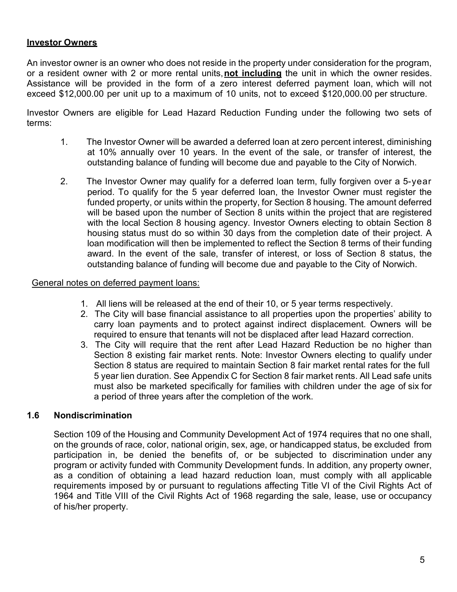## Investor Owners

An investor owner is an owner who does not reside in the property under consideration for the program, or a resident owner with 2 or more rental units, not including the unit in which the owner resides. Assistance will be provided in the form of a zero interest deferred payment loan, which will not exceed \$12,000.00 per unit up to a maximum of 10 units, not to exceed \$120,000.00 per structure.

Investor Owners are eligible for Lead Hazard Reduction Funding under the following two sets of terms:

- 1. The Investor Owner will be awarded a deferred loan at zero percent interest, diminishing at 10% annually over 10 years. In the event of the sale, or transfer of interest, the outstanding balance of funding will become due and payable to the City of Norwich.
- 2. The Investor Owner may qualify for a deferred loan term, fully forgiven over a 5-year period. To qualify for the 5 year deferred loan, the Investor Owner must register the funded property, or units within the property, for Section 8 housing. The amount deferred will be based upon the number of Section 8 units within the project that are registered with the local Section 8 housing agency. Investor Owners electing to obtain Section 8 housing status must do so within 30 days from the completion date of their project. A loan modification will then be implemented to reflect the Section 8 terms of their funding award. In the event of the sale, transfer of interest, or loss of Section 8 status, the outstanding balance of funding will become due and payable to the City of Norwich.

#### General notes on deferred payment loans:

- 1. All liens will be released at the end of their 10, or 5 year terms respectively.
- 2. The City will base financial assistance to all properties upon the properties' ability to carry loan payments and to protect against indirect displacement. Owners will be required to ensure that tenants will not be displaced after lead Hazard correction.
- 3. The City will require that the rent after Lead Hazard Reduction be no higher than Section 8 existing fair market rents. Note: Investor Owners electing to qualify under Section 8 status are required to maintain Section 8 fair market rental rates for the full 5 year lien duration. See Appendix C for Section 8 fair market rents. All Lead safe units must also be marketed specifically for families with children under the age of six for a period of three years after the completion of the work.

## 1.6 Nondiscrimination

Section 109 of the Housing and Community Development Act of 1974 requires that no one shall, on the grounds of race, color, national origin, sex, age, or handicapped status, be excluded from participation in, be denied the benefits of, or be subjected to discrimination under any program or activity funded with Community Development funds. In addition, any property owner, as a condition of obtaining a lead hazard reduction loan, must comply with all applicable requirements imposed by or pursuant to regulations affecting Title VI of the Civil Rights Act of 1964 and Title VIII of the Civil Rights Act of 1968 regarding the sale, lease, use or occupancy of his/her property.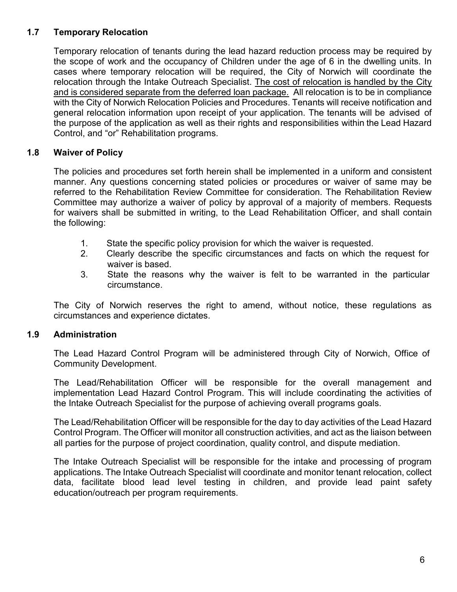# 1.7 Temporary Relocation

Temporary relocation of tenants during the lead hazard reduction process may be required by the scope of work and the occupancy of Children under the age of 6 in the dwelling units. In cases where temporary relocation will be required, the City of Norwich will coordinate the relocation through the Intake Outreach Specialist. The cost of relocation is handled by the City and is considered separate from the deferred loan package. All relocation is to be in compliance with the City of Norwich Relocation Policies and Procedures. Tenants will receive notification and general relocation information upon receipt of your application. The tenants will be advised of the purpose of the application as well as their rights and responsibilities within the Lead Hazard Control, and "or" Rehabilitation programs.

## 1.8 Waiver of Policy

The policies and procedures set forth herein shall be implemented in a uniform and consistent manner. Any questions concerning stated policies or procedures or waiver of same may be referred to the Rehabilitation Review Committee for consideration. The Rehabilitation Review Committee may authorize a waiver of policy by approval of a majority of members. Requests for waivers shall be submitted in writing, to the Lead Rehabilitation Officer, and shall contain the following:

- 1. State the specific policy provision for which the waiver is requested.
- 2. Clearly describe the specific circumstances and facts on which the request for waiver is based.
- 3. State the reasons why the waiver is felt to be warranted in the particular circumstance.

The City of Norwich reserves the right to amend, without notice, these regulations as circumstances and experience dictates.

## 1.9 Administration

The Lead Hazard Control Program will be administered through City of Norwich, Office of Community Development.

The Lead/Rehabilitation Officer will be responsible for the overall management and implementation Lead Hazard Control Program. This will include coordinating the activities of the Intake Outreach Specialist for the purpose of achieving overall programs goals.

The Lead/Rehabilitation Officer will be responsible for the day to day activities of the Lead Hazard Control Program. The Officer will monitor all construction activities, and act as the liaison between all parties for the purpose of project coordination, quality control, and dispute mediation.

The Intake Outreach Specialist will be responsible for the intake and processing of program applications. The Intake Outreach Specialist will coordinate and monitor tenant relocation, collect data, facilitate blood lead level testing in children, and provide lead paint safety education/outreach per program requirements.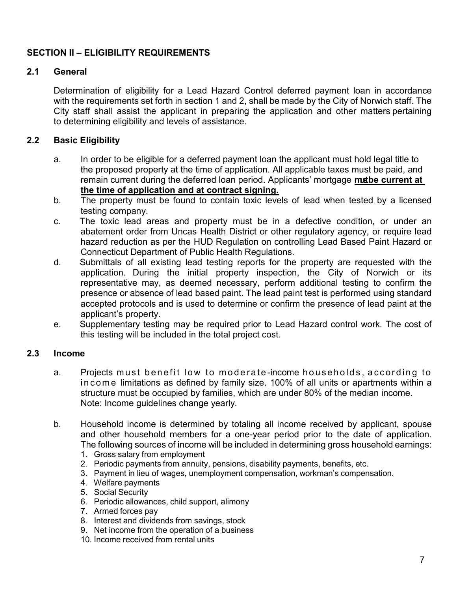# SECTION II – ELIGIBILITY REQUIREMENTS

# 2.1 General

Determination of eligibility for a Lead Hazard Control deferred payment loan in accordance with the requirements set forth in section 1 and 2, shall be made by the City of Norwich staff. The City staff shall assist the applicant in preparing the application and other matters pertaining to determining eligibility and levels of assistance.

# 2.2 Basic Eligibility

- a. In order to be eligible for a deferred payment loan the applicant must hold legal title to the proposed property at the time of application. All applicable taxes must be paid, and remain current during the deferred loan period. Applicants' mortgage **mabe current at** the time of application and at contract signing.
- b. The property must be found to contain toxic levels of lead when tested by a licensed testing company.
- c. The toxic lead areas and property must be in a defective condition, or under an abatement order from Uncas Health District or other regulatory agency, or require lead hazard reduction as per the HUD Regulation on controlling Lead Based Paint Hazard or Connecticut Department of Public Health Regulations.
- d. Submittals of all existing lead testing reports for the property are requested with the application. During the initial property inspection, the City of Norwich or its representative may, as deemed necessary, perform additional testing to confirm the presence or absence of lead based paint. The lead paint test is performed using standard accepted protocols and is used to determine or confirm the presence of lead paint at the applicant's property.
- e. Supplementary testing may be required prior to Lead Hazard control work. The cost of this testing will be included in the total project cost.

## 2.3 Income

- a. Projects must benefit low to moderate-income households, according to in come limitations as defined by family size. 100% of all units or apartments within a structure must be occupied by families, which are under 80% of the median income. Note: Income guidelines change yearly.
- b. Household income is determined by totaling all income received by applicant, spouse and other household members for a one-year period prior to the date of application. The following sources of income will be included in determining gross household earnings:
	- 1. Gross salary from employment
	- 2. Periodic payments from annuity, pensions, disability payments, benefits, etc.
	- 3. Payment in lieu of wages, unemployment compensation, workman's compensation.
	- 4. Welfare payments
	- 5. Social Security
	- 6. Periodic allowances, child support, alimony
	- 7. Armed forces pay
	- 8. Interest and dividends from savings, stock
	- 9. Net income from the operation of a business
	- 10. Income received from rental units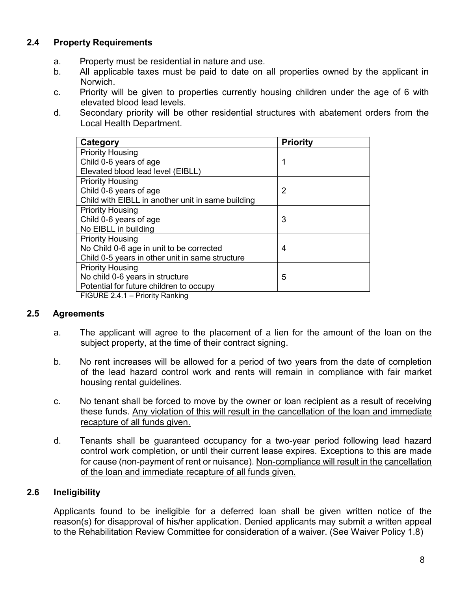# 2.4 Property Requirements

- a. Property must be residential in nature and use.
- b. All applicable taxes must be paid to date on all properties owned by the applicant in Norwich.
- c. Priority will be given to properties currently housing children under the age of 6 with elevated blood lead levels.
- d. Secondary priority will be other residential structures with abatement orders from the Local Health Department.

| Category                                          | <b>Priority</b> |
|---------------------------------------------------|-----------------|
| <b>Priority Housing</b>                           |                 |
| Child 0-6 years of age                            | 1               |
| Elevated blood lead level (EIBLL)                 |                 |
| <b>Priority Housing</b>                           |                 |
| Child 0-6 years of age                            | 2               |
| Child with EIBLL in another unit in same building |                 |
| <b>Priority Housing</b>                           |                 |
| Child 0-6 years of age                            | 3               |
| No EIBLL in building                              |                 |
| <b>Priority Housing</b>                           |                 |
| No Child 0-6 age in unit to be corrected          | 4               |
| Child 0-5 years in other unit in same structure   |                 |
| <b>Priority Housing</b>                           |                 |
| No child 0-6 years in structure                   | 5               |
| Potential for future children to occupy           |                 |
| FIGURE 2.4.1 - Priority Ranking                   |                 |

2.5 Agreements

- a. The applicant will agree to the placement of a lien for the amount of the loan on the subject property, at the time of their contract signing.
- b. No rent increases will be allowed for a period of two years from the date of completion of the lead hazard control work and rents will remain in compliance with fair market housing rental guidelines.
- c. No tenant shall be forced to move by the owner or loan recipient as a result of receiving these funds. Any violation of this will result in the cancellation of the loan and immediate recapture of all funds given.
- d. Tenants shall be guaranteed occupancy for a two-year period following lead hazard control work completion, or until their current lease expires. Exceptions to this are made for cause (non-payment of rent or nuisance). Non-compliance will result in the cancellation of the loan and immediate recapture of all funds given.

## 2.6 Ineligibility

Applicants found to be ineligible for a deferred loan shall be given written notice of the reason(s) for disapproval of his/her application. Denied applicants may submit a written appeal to the Rehabilitation Review Committee for consideration of a waiver. (See Waiver Policy 1.8)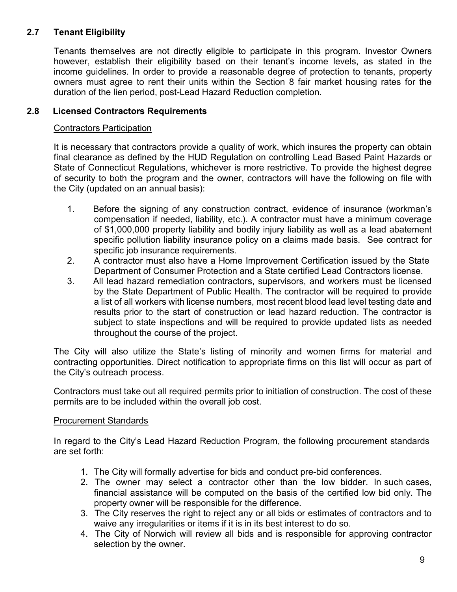# 2.7 Tenant Eligibility

Tenants themselves are not directly eligible to participate in this program. Investor Owners however, establish their eligibility based on their tenant's income levels, as stated in the income guidelines. In order to provide a reasonable degree of protection to tenants, property owners must agree to rent their units within the Section 8 fair market housing rates for the duration of the lien period, post-Lead Hazard Reduction completion.

## 2.8 Licensed Contractors Requirements

#### Contractors Participation

It is necessary that contractors provide a quality of work, which insures the property can obtain final clearance as defined by the HUD Regulation on controlling Lead Based Paint Hazards or State of Connecticut Regulations, whichever is more restrictive. To provide the highest degree of security to both the program and the owner, contractors will have the following on file with the City (updated on an annual basis):

- 1. Before the signing of any construction contract, evidence of insurance (workman's compensation if needed, liability, etc.). A contractor must have a minimum coverage of \$1,000,000 property liability and bodily injury liability as well as a lead abatement specific pollution liability insurance policy on a claims made basis. See contract for specific job insurance requirements.
- 2. A contractor must also have a Home Improvement Certification issued by the State Department of Consumer Protection and a State certified Lead Contractors license.
- 3. All lead hazard remediation contractors, supervisors, and workers must be licensed by the State Department of Public Health. The contractor will be required to provide a list of all workers with license numbers, most recent blood lead level testing date and results prior to the start of construction or lead hazard reduction. The contractor is subject to state inspections and will be required to provide updated lists as needed throughout the course of the project.

The City will also utilize the State's listing of minority and women firms for material and contracting opportunities. Direct notification to appropriate firms on this list will occur as part of the City's outreach process.

Contractors must take out all required permits prior to initiation of construction. The cost of these permits are to be included within the overall job cost.

## Procurement Standards

In regard to the City's Lead Hazard Reduction Program, the following procurement standards are set forth:

- 1. The City will formally advertise for bids and conduct pre-bid conferences.
- 2. The owner may select a contractor other than the low bidder. In such cases, financial assistance will be computed on the basis of the certified low bid only. The property owner will be responsible for the difference.
- 3. The City reserves the right to reject any or all bids or estimates of contractors and to waive any irregularities or items if it is in its best interest to do so.
- 4. The City of Norwich will review all bids and is responsible for approving contractor selection by the owner.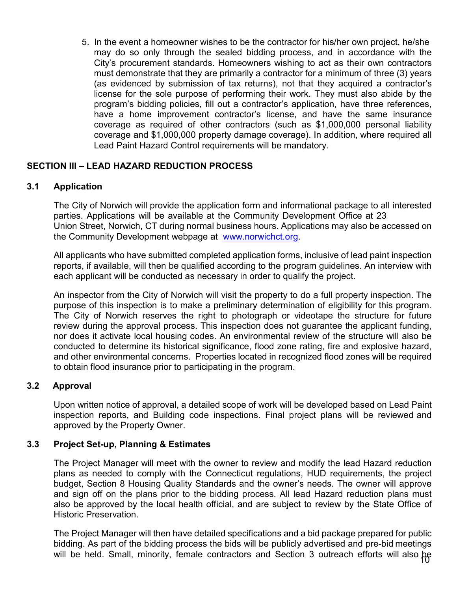5. In the event a homeowner wishes to be the contractor for his/her own project, he/she may do so only through the sealed bidding process, and in accordance with the City's procurement standards. Homeowners wishing to act as their own contractors must demonstrate that they are primarily a contractor for a minimum of three (3) years (as evidenced by submission of tax returns), not that they acquired a contractor's license for the sole purpose of performing their work. They must also abide by the program's bidding policies, fill out a contractor's application, have three references, have a home improvement contractor's license, and have the same insurance coverage as required of other contractors (such as \$1,000,000 personal liability coverage and \$1,000,000 property damage coverage). In addition, where required all Lead Paint Hazard Control requirements will be mandatory.

## SECTION III – LEAD HAZARD REDUCTION PROCESS

## 3.1 Application

The City of Norwich will provide the application form and informational package to all interested parties. Applications will be available at the Community Development Office at 23 Union Street, Norwich, CT during normal business hours. Applications may also be accessed on the Community Development webpage at www.norwichct.org.

All applicants who have submitted completed application forms, inclusive of lead paint inspection reports, if available, will then be qualified according to the program guidelines. An interview with each applicant will be conducted as necessary in order to qualify the project.

An inspector from the City of Norwich will visit the property to do a full property inspection. The purpose of this inspection is to make a preliminary determination of eligibility for this program. The City of Norwich reserves the right to photograph or videotape the structure for future review during the approval process. This inspection does not guarantee the applicant funding, nor does it activate local housing codes. An environmental review of the structure will also be conducted to determine its historical significance, flood zone rating, fire and explosive hazard, and other environmental concerns. Properties located in recognized flood zones will be required to obtain flood insurance prior to participating in the program.

## 3.2 Approval

Upon written notice of approval, a detailed scope of work will be developed based on Lead Paint inspection reports, and Building code inspections. Final project plans will be reviewed and approved by the Property Owner.

## 3.3 Project Set-up, Planning & Estimates

The Project Manager will meet with the owner to review and modify the lead Hazard reduction plans as needed to comply with the Connecticut regulations, HUD requirements, the project budget, Section 8 Housing Quality Standards and the owner's needs. The owner will approve and sign off on the plans prior to the bidding process. All lead Hazard reduction plans must also be approved by the local health official, and are subject to review by the State Office of Historic Preservation.

will be held. Small, minority, female contractors and Section 3 outreach efforts will also be<br>10 The Project Manager will then have detailed specifications and a bid package prepared for public bidding. As part of the bidding process the bids will be publicly advertised and pre-bid meetings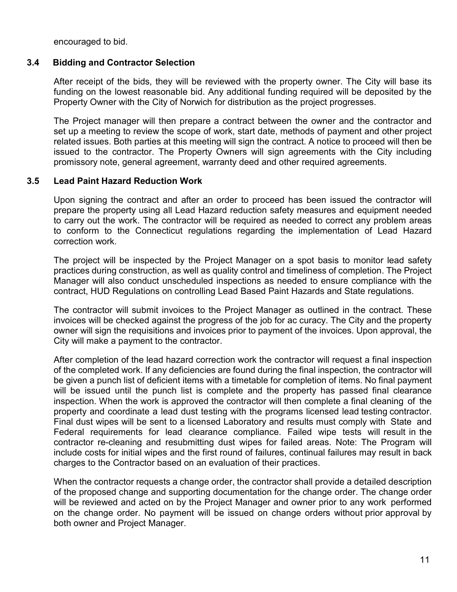encouraged to bid.

#### 3.4 Bidding and Contractor Selection

After receipt of the bids, they will be reviewed with the property owner. The City will base its funding on the lowest reasonable bid. Any additional funding required will be deposited by the Property Owner with the City of Norwich for distribution as the project progresses.

The Project manager will then prepare a contract between the owner and the contractor and set up a meeting to review the scope of work, start date, methods of payment and other project related issues. Both parties at this meeting will sign the contract. A notice to proceed will then be issued to the contractor. The Property Owners will sign agreements with the City including promissory note, general agreement, warranty deed and other required agreements.

#### 3.5 Lead Paint Hazard Reduction Work

Upon signing the contract and after an order to proceed has been issued the contractor will prepare the property using all Lead Hazard reduction safety measures and equipment needed to carry out the work. The contractor will be required as needed to correct any problem areas to conform to the Connecticut regulations regarding the implementation of Lead Hazard correction work.

The project will be inspected by the Project Manager on a spot basis to monitor lead safety practices during construction, as well as quality control and timeliness of completion. The Project Manager will also conduct unscheduled inspections as needed to ensure compliance with the contract, HUD Regulations on controlling Lead Based Paint Hazards and State regulations.

The contractor will submit invoices to the Project Manager as outlined in the contract. These invoices will be checked against the progress of the job for ac curacy. The City and the property owner will sign the requisitions and invoices prior to payment of the invoices. Upon approval, the City will make a payment to the contractor.

After completion of the lead hazard correction work the contractor will request a final inspection of the completed work. If any deficiencies are found during the final inspection, the contractor will be given a punch list of deficient items with a timetable for completion of items. No final payment will be issued until the punch list is complete and the property has passed final clearance inspection. When the work is approved the contractor will then complete a final cleaning of the property and coordinate a lead dust testing with the programs licensed lead testing contractor. Final dust wipes will be sent to a licensed Laboratory and results must comply with State and Federal requirements for lead clearance compliance. Failed wipe tests will result in the contractor re-cleaning and resubmitting dust wipes for failed areas. Note: The Program will include costs for initial wipes and the first round of failures, continual failures may result in back charges to the Contractor based on an evaluation of their practices.

When the contractor requests a change order, the contractor shall provide a detailed description of the proposed change and supporting documentation for the change order. The change order will be reviewed and acted on by the Project Manager and owner prior to any work performed on the change order. No payment will be issued on change orders without prior approval by both owner and Project Manager.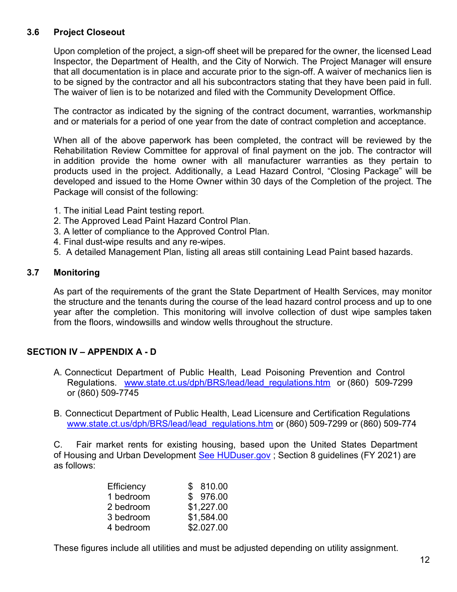# 3.6 Project Closeout

Upon completion of the project, a sign-off sheet will be prepared for the owner, the licensed Lead Inspector, the Department of Health, and the City of Norwich. The Project Manager will ensure that all documentation is in place and accurate prior to the sign-off. A waiver of mechanics lien is to be signed by the contractor and all his subcontractors stating that they have been paid in full. The waiver of lien is to be notarized and filed with the Community Development Office.

The contractor as indicated by the signing of the contract document, warranties, workmanship and or materials for a period of one year from the date of contract completion and acceptance.

When all of the above paperwork has been completed, the contract will be reviewed by the Rehabilitation Review Committee for approval of final payment on the job. The contractor will in addition provide the home owner with all manufacturer warranties as they pertain to products used in the project. Additionally, a Lead Hazard Control, "Closing Package" will be developed and issued to the Home Owner within 30 days of the Completion of the project. The Package will consist of the following:

- 1. The initial Lead Paint testing report.
- 2. The Approved Lead Paint Hazard Control Plan.
- 3. A letter of compliance to the Approved Control Plan.
- 4. Final dust-wipe results and any re-wipes.
- 5. A detailed Management Plan, listing all areas still containing Lead Paint based hazards.

## 3.7 Monitoring

As part of the requirements of the grant the State Department of Health Services, may monitor the structure and the tenants during the course of the lead hazard control process and up to one year after the completion. This monitoring will involve collection of dust wipe samples taken from the floors, windowsills and window wells throughout the structure.

## SECTION IV – APPENDIX A - D

- A. Connecticut Department of Public Health, Lead Poisoning Prevention and Control Regulations. www.state.ct.us/dph/BRS/lead/lead regulations.htm or (860) 509-7299 or (860) 509-7745
- B. Connecticut Department of Public Health, Lead Licensure and Certification Regulations www.state.ct.us/dph/BRS/lead/lead\_regulations.htm or (860) 509-7299 or (860) 509-774

C. Fair market rents for existing housing, based upon the United States Department of Housing and Urban Development See HUDuser.gov ; Section 8 guidelines (FY 2021) are as follows:

| Efficiency | \$810.00   |
|------------|------------|
| 1 bedroom  | \$976.00   |
| 2 bedroom  | \$1,227.00 |
| 3 bedroom  | \$1,584.00 |
| 4 bedroom  | \$2.027.00 |
|            |            |

These figures include all utilities and must be adjusted depending on utility assignment.